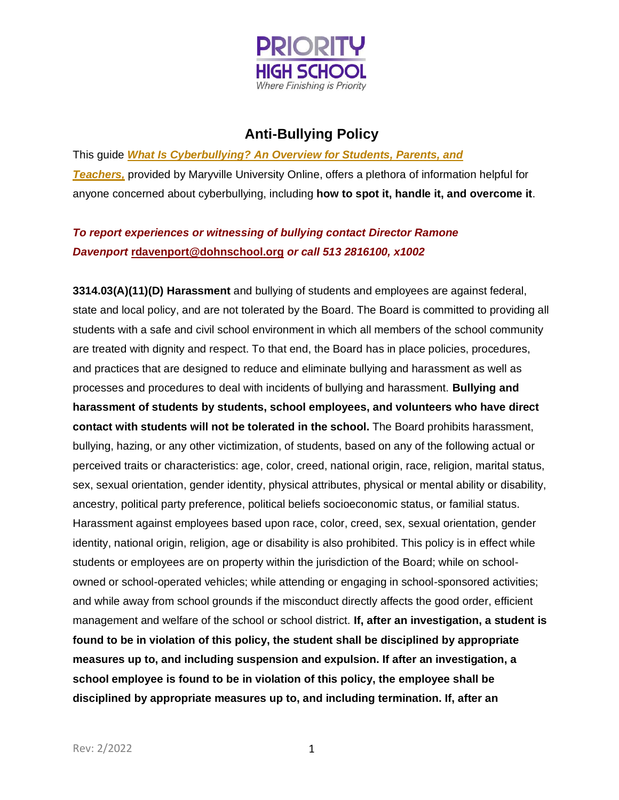

## **Anti-Bullying Policy**

This guide *What Is [Cyberbullying?](https://online.maryville.edu/blog/what-is-cyberbullying-an-overview-for-students-parents-and-teachers/) An Overview for Students, Parents, and [Teachers,](https://online.maryville.edu/blog/what-is-cyberbullying-an-overview-for-students-parents-and-teachers/)* provided by Maryville University Online, offers a plethora of information helpful for anyone concerned about cyberbullying, including **how to spot it, handle it, and overcome it**.

## *To report experiences or witnessing of bullying contact Director Ramone Davenport* **[rdavenport@dohnschool.org](mailto:rdavenport@dohnschool.org)** *or call 513 2816100, x1002*

**3314.03(A)(11)(D) Harassment** and bullying of students and employees are against federal, state and local policy, and are not tolerated by the Board. The Board is committed to providing all students with a safe and civil school environment in which all members of the school community are treated with dignity and respect. To that end, the Board has in place policies, procedures, and practices that are designed to reduce and eliminate bullying and harassment as well as processes and procedures to deal with incidents of bullying and harassment. **Bullying and harassment of students by students, school employees, and volunteers who have direct contact with students will not be tolerated in the school.** The Board prohibits harassment, bullying, hazing, or any other victimization, of students, based on any of the following actual or perceived traits or characteristics: age, color, creed, national origin, race, religion, marital status, sex, sexual orientation, gender identity, physical attributes, physical or mental ability or disability, ancestry, political party preference, political beliefs socioeconomic status, or familial status. Harassment against employees based upon race, color, creed, sex, sexual orientation, gender identity, national origin, religion, age or disability is also prohibited. This policy is in effect while students or employees are on property within the jurisdiction of the Board; while on schoolowned or school-operated vehicles; while attending or engaging in school-sponsored activities; and while away from school grounds if the misconduct directly affects the good order, efficient management and welfare of the school or school district. **If, after an investigation, a student is found to be in violation of this policy, the student shall be disciplined by appropriate measures up to, and including suspension and expulsion. If after an investigation, a school employee is found to be in violation of this policy, the employee shall be disciplined by appropriate measures up to, and including termination. If, after an**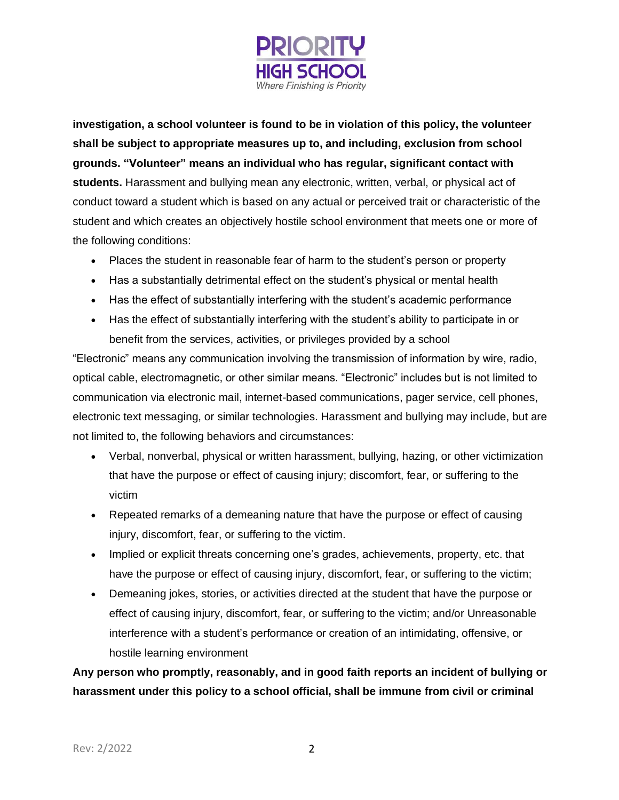

**investigation, a school volunteer is found to be in violation of this policy, the volunteer shall be subject to appropriate measures up to, and including, exclusion from school grounds. "Volunteer" means an individual who has regular, significant contact with students.** Harassment and bullying mean any electronic, written, verbal, or physical act of conduct toward a student which is based on any actual or perceived trait or characteristic of the student and which creates an objectively hostile school environment that meets one or more of the following conditions:

- Places the student in reasonable fear of harm to the student's person or property
- Has a substantially detrimental effect on the student's physical or mental health
- Has the effect of substantially interfering with the student's academic performance
- Has the effect of substantially interfering with the student's ability to participate in or benefit from the services, activities, or privileges provided by a school

"Electronic" means any communication involving the transmission of information by wire, radio, optical cable, electromagnetic, or other similar means. "Electronic" includes but is not limited to communication via electronic mail, internet-based communications, pager service, cell phones, electronic text messaging, or similar technologies. Harassment and bullying may include, but are not limited to, the following behaviors and circumstances:

- Verbal, nonverbal, physical or written harassment, bullying, hazing, or other victimization that have the purpose or effect of causing injury; discomfort, fear, or suffering to the victim
- Repeated remarks of a demeaning nature that have the purpose or effect of causing injury, discomfort, fear, or suffering to the victim.
- Implied or explicit threats concerning one's grades, achievements, property, etc. that have the purpose or effect of causing injury, discomfort, fear, or suffering to the victim;
- Demeaning jokes, stories, or activities directed at the student that have the purpose or effect of causing injury, discomfort, fear, or suffering to the victim; and/or Unreasonable interference with a student's performance or creation of an intimidating, offensive, or hostile learning environment

**Any person who promptly, reasonably, and in good faith reports an incident of bullying or harassment under this policy to a school official, shall be immune from civil or criminal**